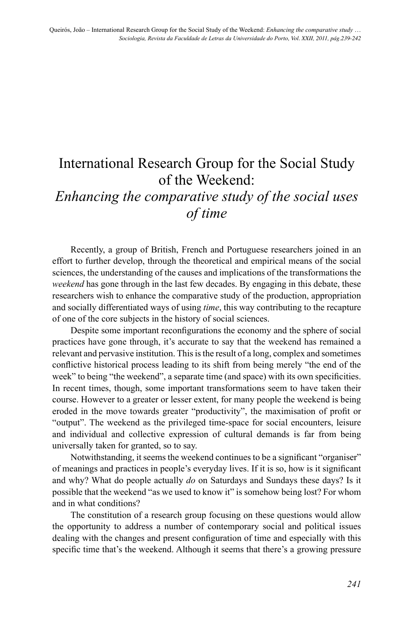## International Research Group for the Social Study of the Weekend:

## *Enhancing the comparative study of the social uses of time*

Recently, a group of British, French and Portuguese researchers joined in an effort to further develop, through the theoretical and empirical means of the social sciences, the understanding of the causes and implications of the transformations the *weekend* has gone through in the last few decades. By engaging in this debate, these researchers wish to enhance the comparative study of the production, appropriation and socially differentiated ways of using *time*, this way contributing to the recapture of one of the core subjects in the history of social sciences.

Despite some important reconfigurations the economy and the sphere of social practices have gone through, it's accurate to say that the weekend has remained a relevant and pervasive institution. This is the result of a long, complex and sometimes conflictive historical process leading to its shift from being merely "the end of the week" to being "the weekend", a separate time (and space) with its own specificities. In recent times, though, some important transformations seem to have taken their course. However to a greater or lesser extent, for many people the weekend is being eroded in the move towards greater "productivity", the maximisation of profit or "output". The weekend as the privileged time-space for social encounters, leisure and individual and collective expression of cultural demands is far from being universally taken for granted, so to say.

Notwithstanding, it seems the weekend continues to be a significant "organiser" of meanings and practices in people's everyday lives. If it is so, how is it significant and why? What do people actually *do* on Saturdays and Sundays these days? Is it possible that the weekend "as we used to know it" is somehow being lost? For whom and in what conditions?

The constitution of a research group focusing on these questions would allow the opportunity to address a number of contemporary social and political issues dealing with the changes and present configuration of time and especially with this specific time that's the weekend. Although it seems that there's a growing pressure